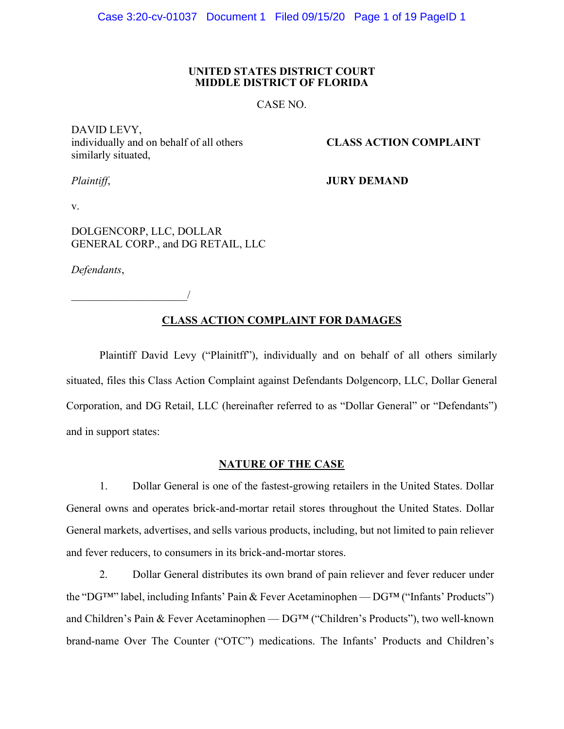#### **UNITED STATES DISTRICT COURT MIDDLE DISTRICT OF FLORIDA**

CASE NO.

DAVID LEVY, individually and on behalf of all others similarly situated,

 **CLASS ACTION COMPLAINT**

*Plaintiff*,

 **JURY DEMAND**

v.

DOLGENCORP, LLC, DOLLAR GENERAL CORP., and DG RETAIL, LLC

*Defendants*,

\_\_\_\_\_\_\_\_\_\_\_\_\_\_\_\_\_\_\_\_\_/

### **CLASS ACTION COMPLAINT FOR DAMAGES**

Plaintiff David Levy ("Plainitff"), individually and on behalf of all others similarly situated, files this Class Action Complaint against Defendants Dolgencorp, LLC, Dollar General Corporation, and DG Retail, LLC (hereinafter referred to as "Dollar General" or "Defendants") and in support states:

#### **NATURE OF THE CASE**

1. Dollar General is one of the fastest-growing retailers in the United States. Dollar General owns and operates brick-and-mortar retail stores throughout the United States. Dollar General markets, advertises, and sells various products, including, but not limited to pain reliever and fever reducers, to consumers in its brick-and-mortar stores.

2. Dollar General distributes its own brand of pain reliever and fever reducer under the "DG™" label, including Infants' Pain & Fever Acetaminophen — DG™ ("Infants' Products") and Children's Pain & Fever Acetaminophen — DG™ ("Children's Products"), two well-known brand-name Over The Counter ("OTC") medications. The Infants' Products and Children's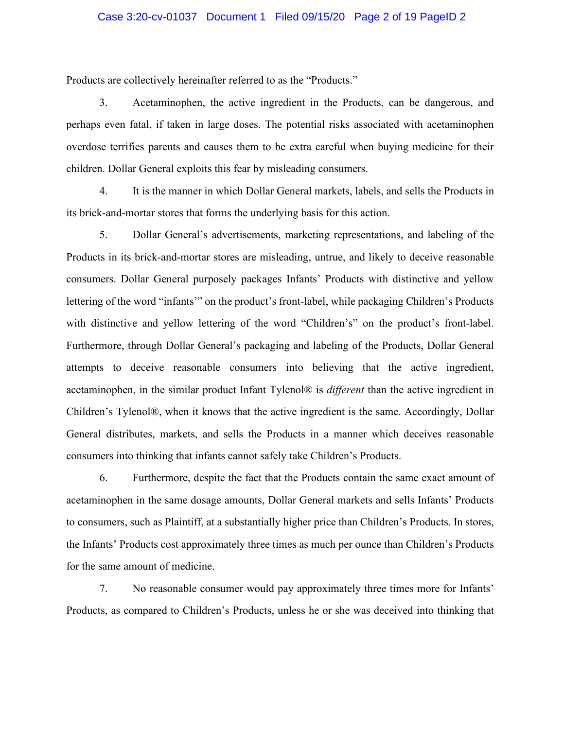#### Case 3:20-cv-01037 Document 1 Filed 09/15/20 Page 2 of 19 PageID 2

Products are collectively hereinafter referred to as the "Products."

3. Acetaminophen, the active ingredient in the Products, can be dangerous, and perhaps even fatal, if taken in large doses. The potential risks associated with acetaminophen overdose terrifies parents and causes them to be extra careful when buying medicine for their children. Dollar General exploits this fear by misleading consumers.

4. It is the manner in which Dollar General markets, labels, and sells the Products in its brick-and-mortar stores that forms the underlying basis for this action.

5. Dollar General's advertisements, marketing representations, and labeling of the Products in its brick-and-mortar stores are misleading, untrue, and likely to deceive reasonable consumers. Dollar General purposely packages Infants' Products with distinctive and yellow lettering of the word "infants'" on the product's front-label, while packaging Children's Products with distinctive and yellow lettering of the word "Children's" on the product's front-label. Furthermore, through Dollar General's packaging and labeling of the Products, Dollar General attempts to deceive reasonable consumers into believing that the active ingredient, acetaminophen, in the similar product Infant Tylenol® is *different* than the active ingredient in Children's Tylenol®, when it knows that the active ingredient is the same. Accordingly, Dollar General distributes, markets, and sells the Products in a manner which deceives reasonable consumers into thinking that infants cannot safely take Children's Products.

6. Furthermore, despite the fact that the Products contain the same exact amount of acetaminophen in the same dosage amounts, Dollar General markets and sells Infants' Products to consumers, such as Plaintiff, at a substantially higher price than Children's Products. In stores, the Infants' Products cost approximately three times as much per ounce than Children's Products for the same amount of medicine.

7. No reasonable consumer would pay approximately three times more for Infants' Products, as compared to Children's Products, unless he or she was deceived into thinking that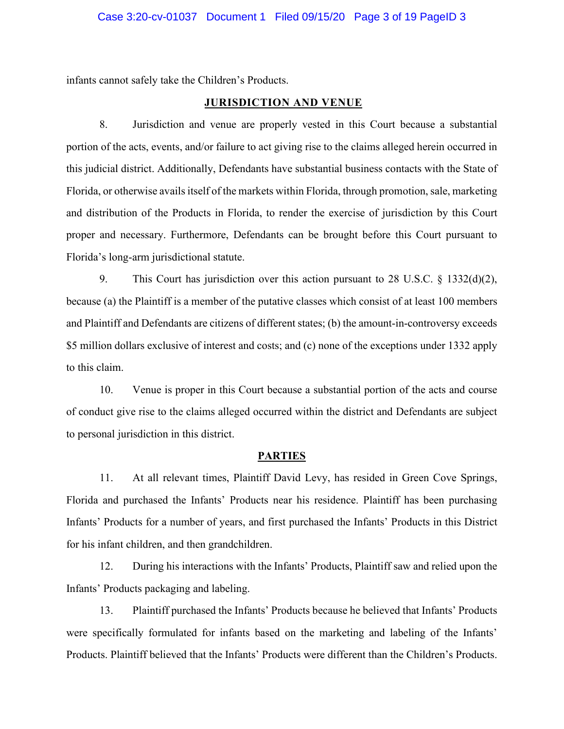infants cannot safely take the Children's Products.

## **JURISDICTION AND VENUE**

8. Jurisdiction and venue are properly vested in this Court because a substantial portion of the acts, events, and/or failure to act giving rise to the claims alleged herein occurred in this judicial district. Additionally, Defendants have substantial business contacts with the State of Florida, or otherwise avails itself of the markets within Florida, through promotion, sale, marketing and distribution of the Products in Florida, to render the exercise of jurisdiction by this Court proper and necessary. Furthermore, Defendants can be brought before this Court pursuant to Florida's long-arm jurisdictional statute.

9. This Court has jurisdiction over this action pursuant to 28 U.S.C. § 1332(d)(2), because (a) the Plaintiff is a member of the putative classes which consist of at least 100 members and Plaintiff and Defendants are citizens of different states; (b) the amount-in-controversy exceeds \$5 million dollars exclusive of interest and costs; and (c) none of the exceptions under 1332 apply to this claim.

10. Venue is proper in this Court because a substantial portion of the acts and course of conduct give rise to the claims alleged occurred within the district and Defendants are subject to personal jurisdiction in this district.

#### **PARTIES**

11. At all relevant times, Plaintiff David Levy, has resided in Green Cove Springs, Florida and purchased the Infants' Products near his residence. Plaintiff has been purchasing Infants' Products for a number of years, and first purchased the Infants' Products in this District for his infant children, and then grandchildren.

12. During his interactions with the Infants' Products, Plaintiff saw and relied upon the Infants' Products packaging and labeling.

13. Plaintiff purchased the Infants' Products because he believed that Infants' Products were specifically formulated for infants based on the marketing and labeling of the Infants' Products. Plaintiff believed that the Infants' Products were different than the Children's Products.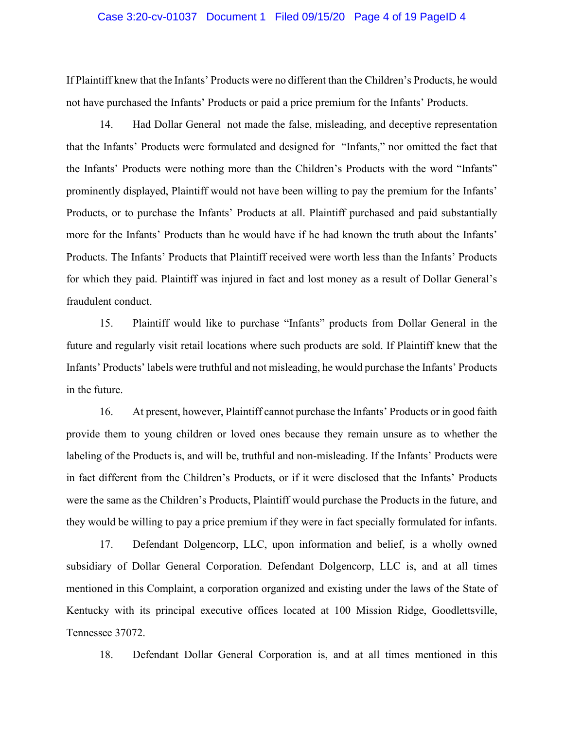#### Case 3:20-cv-01037 Document 1 Filed 09/15/20 Page 4 of 19 PageID 4

If Plaintiff knew that the Infants' Products were no different than the Children's Products, he would not have purchased the Infants' Products or paid a price premium for the Infants' Products.

14. Had Dollar General not made the false, misleading, and deceptive representation that the Infants' Products were formulated and designed for "Infants," nor omitted the fact that the Infants' Products were nothing more than the Children's Products with the word "Infants" prominently displayed, Plaintiff would not have been willing to pay the premium for the Infants' Products, or to purchase the Infants' Products at all. Plaintiff purchased and paid substantially more for the Infants' Products than he would have if he had known the truth about the Infants' Products. The Infants' Products that Plaintiff received were worth less than the Infants' Products for which they paid. Plaintiff was injured in fact and lost money as a result of Dollar General's fraudulent conduct.

15. Plaintiff would like to purchase "Infants" products from Dollar General in the future and regularly visit retail locations where such products are sold. If Plaintiff knew that the Infants' Products' labels were truthful and not misleading, he would purchase the Infants' Products in the future.

16. At present, however, Plaintiff cannot purchase the Infants' Products or in good faith provide them to young children or loved ones because they remain unsure as to whether the labeling of the Products is, and will be, truthful and non-misleading. If the Infants' Products were in fact different from the Children's Products, or if it were disclosed that the Infants' Products were the same as the Children's Products, Plaintiff would purchase the Products in the future, and they would be willing to pay a price premium if they were in fact specially formulated for infants.

17. Defendant Dolgencorp, LLC, upon information and belief, is a wholly owned subsidiary of Dollar General Corporation. Defendant Dolgencorp, LLC is, and at all times mentioned in this Complaint, a corporation organized and existing under the laws of the State of Kentucky with its principal executive offices located at 100 Mission Ridge, Goodlettsville, Tennessee 37072.

18. Defendant Dollar General Corporation is, and at all times mentioned in this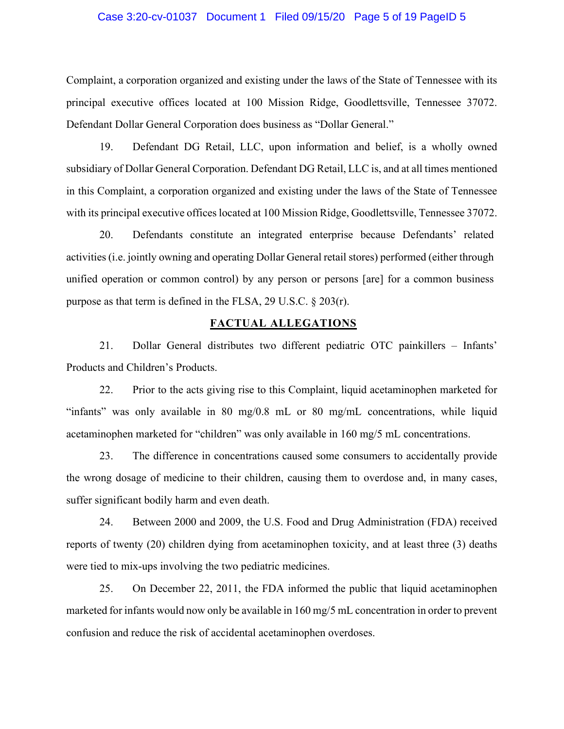#### Case 3:20-cv-01037 Document 1 Filed 09/15/20 Page 5 of 19 PageID 5

Complaint, a corporation organized and existing under the laws of the State of Tennessee with its principal executive offices located at 100 Mission Ridge, Goodlettsville, Tennessee 37072. Defendant Dollar General Corporation does business as "Dollar General."

19. Defendant DG Retail, LLC, upon information and belief, is a wholly owned subsidiary of Dollar General Corporation. Defendant DG Retail, LLC is, and at all times mentioned in this Complaint, a corporation organized and existing under the laws of the State of Tennessee with its principal executive offices located at 100 Mission Ridge, Goodlettsville, Tennessee 37072.

20. Defendants constitute an integrated enterprise because Defendants' related activities (i.e. jointly owning and operating Dollar General retail stores) performed (either through unified operation or common control) by any person or persons [are] for a common business purpose as that term is defined in the FLSA, 29 U.S.C. § 203(r).

## **FACTUAL ALLEGATIONS**

21. Dollar General distributes two different pediatric OTC painkillers – Infants' Products and Children's Products.

22. Prior to the acts giving rise to this Complaint, liquid acetaminophen marketed for "infants" was only available in 80 mg/0.8 mL or 80 mg/mL concentrations, while liquid acetaminophen marketed for "children" was only available in 160 mg/5 mL concentrations.

23. The difference in concentrations caused some consumers to accidentally provide the wrong dosage of medicine to their children, causing them to overdose and, in many cases, suffer significant bodily harm and even death.

24. Between 2000 and 2009, the U.S. Food and Drug Administration (FDA) received reports of twenty (20) children dying from acetaminophen toxicity, and at least three (3) deaths were tied to mix-ups involving the two pediatric medicines.

25. On December 22, 2011, the FDA informed the public that liquid acetaminophen marketed for infants would now only be available in 160 mg/5 mL concentration in order to prevent confusion and reduce the risk of accidental acetaminophen overdoses.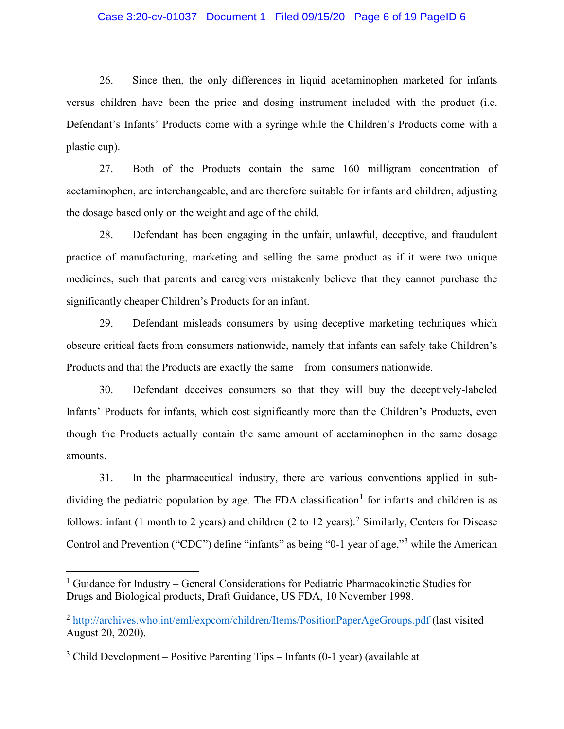#### Case 3:20-cv-01037 Document 1 Filed 09/15/20 Page 6 of 19 PageID 6

26. Since then, the only differences in liquid acetaminophen marketed for infants versus children have been the price and dosing instrument included with the product (i.e. Defendant's Infants' Products come with a syringe while the Children's Products come with a plastic cup).

27. Both of the Products contain the same 160 milligram concentration of acetaminophen, are interchangeable, and are therefore suitable for infants and children, adjusting the dosage based only on the weight and age of the child.

28. Defendant has been engaging in the unfair, unlawful, deceptive, and fraudulent practice of manufacturing, marketing and selling the same product as if it were two unique medicines, such that parents and caregivers mistakenly believe that they cannot purchase the significantly cheaper Children's Products for an infant.

29. Defendant misleads consumers by using deceptive marketing techniques which obscure critical facts from consumers nationwide, namely that infants can safely take Children's Products and that the Products are exactly the same—from consumers nationwide.

30. Defendant deceives consumers so that they will buy the deceptively-labeled Infants' Products for infants, which cost significantly more than the Children's Products, even though the Products actually contain the same amount of acetaminophen in the same dosage amounts.

31. In the pharmaceutical industry, there are various conventions applied in sub-dividing the pediatric population by age. The FDA classification<sup>[1](#page-5-0)</sup> for infants and children is as follows: infant (1 month to [2](#page-5-1) years) and children (2 to 12 years).<sup>2</sup> Similarly, Centers for Disease Control and Prevention ("CDC") define "infants" as being "0-1 year of age,"[3](#page-5-2) while the American

<span id="page-5-0"></span><sup>&</sup>lt;sup>1</sup> Guidance for Industry – General Considerations for Pediatric Pharmacokinetic Studies for Drugs and Biological products, Draft Guidance, US FDA, 10 November 1998.

<span id="page-5-1"></span><sup>&</sup>lt;sup>2</sup> <http://archives.who.int/eml/expcom/children/Items/PositionPaperAgeGroups.pdf> (last visited August 20, 2020).

<span id="page-5-2"></span> $3$  Child Development – Positive Parenting Tips – Infants (0-1 year) (available at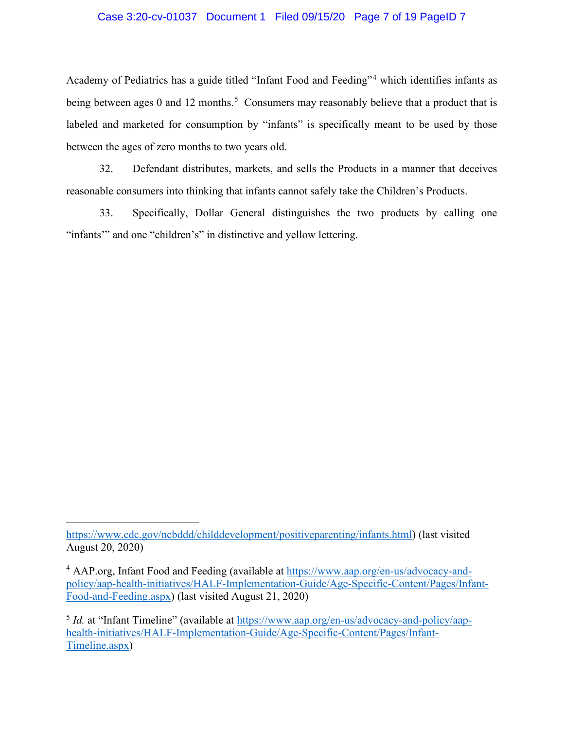## Case 3:20-cv-01037 Document 1 Filed 09/15/20 Page 7 of 19 PageID 7

Academy of Pediatrics has a guide titled "Infant Food and Feeding"[4](#page-6-0) which identifies infants as being between ages 0 and 12 months.<sup>[5](#page-6-1)</sup> Consumers may reasonably believe that a product that is labeled and marketed for consumption by "infants" is specifically meant to be used by those between the ages of zero months to two years old.

32. Defendant distributes, markets, and sells the Products in a manner that deceives reasonable consumers into thinking that infants cannot safely take the Children's Products.

33. Specifically, Dollar General distinguishes the two products by calling one "infants" and one "children's" in distinctive and yellow lettering.

[https://www.cdc.gov/ncbddd/childdevelopment/positiveparenting/infants.html\)](https://www.cdc.gov/ncbddd/childdevelopment/positiveparenting/infants.html) (last visited August 20, 2020)

<span id="page-6-0"></span><sup>4</sup> AAP.org, Infant Food and Feeding (available at [https://www.aap.org/en-us/advocacy-and](https://www.aap.org/en-us/advocacy-and-policy/aap-health-initiatives/HALF-Implementation-Guide/Age-Specific-Content/Pages/Infant-Food-and-Feeding.aspx)[policy/aap-health-initiatives/HALF-Implementation-Guide/Age-Specific-Content/Pages/Infant-](https://www.aap.org/en-us/advocacy-and-policy/aap-health-initiatives/HALF-Implementation-Guide/Age-Specific-Content/Pages/Infant-Food-and-Feeding.aspx)[Food-and-Feeding.aspx\)](https://www.aap.org/en-us/advocacy-and-policy/aap-health-initiatives/HALF-Implementation-Guide/Age-Specific-Content/Pages/Infant-Food-and-Feeding.aspx) (last visited August 21, 2020)

<span id="page-6-1"></span><sup>&</sup>lt;sup>5</sup> *Id.* at "Infant Timeline" (available at [https://www.aap.org/en-us/advocacy-and-policy/aap](https://www.aap.org/en-us/advocacy-and-policy/aap-health-initiatives/HALF-Implementation-Guide/Age-Specific-Content/Pages/Infant-Timeline.aspx)[health-initiatives/HALF-Implementation-Guide/Age-Specific-Content/Pages/Infant-](https://www.aap.org/en-us/advocacy-and-policy/aap-health-initiatives/HALF-Implementation-Guide/Age-Specific-Content/Pages/Infant-Timeline.aspx)[Timeline.aspx\)](https://www.aap.org/en-us/advocacy-and-policy/aap-health-initiatives/HALF-Implementation-Guide/Age-Specific-Content/Pages/Infant-Timeline.aspx)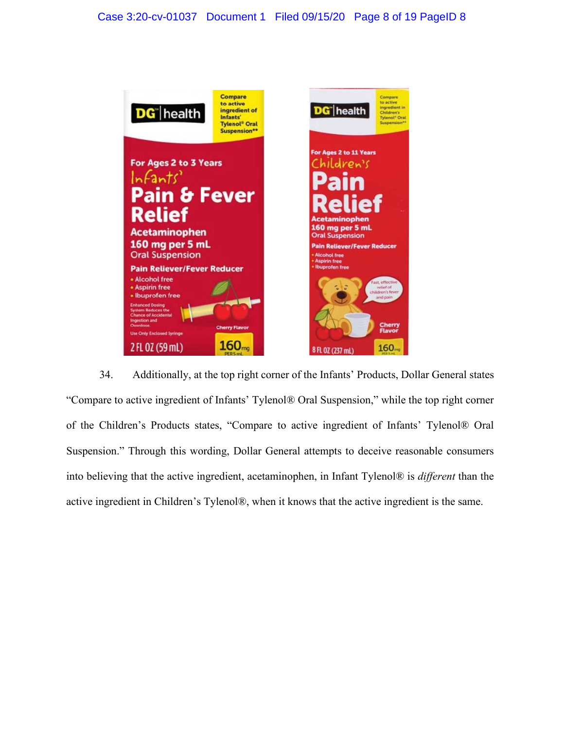

34. Additionally, at the top right corner of the Infants' Products, Dollar General states "Compare to active ingredient of Infants' Tylenol® Oral Suspension," while the top right corner of the Children's Products states, "Compare to active ingredient of Infants' Tylenol® Oral Suspension." Through this wording, Dollar General attempts to deceive reasonable consumers into believing that the active ingredient, acetaminophen, in Infant Tylenol® is *different* than the active ingredient in Children's Tylenol®, when it knows that the active ingredient is the same.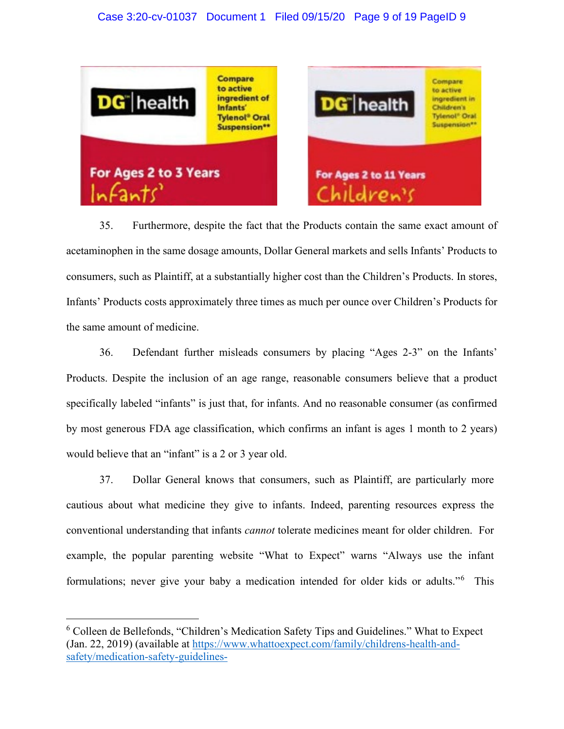## Case 3:20-cv-01037 Document 1 Filed 09/15/20 Page 9 of 19 PageID 9



35. Furthermore, despite the fact that the Products contain the same exact amount of acetaminophen in the same dosage amounts, Dollar General markets and sells Infants' Products to consumers, such as Plaintiff, at a substantially higher cost than the Children's Products. In stores, Infants' Products costs approximately three times as much per ounce over Children's Products for the same amount of medicine.

36. Defendant further misleads consumers by placing "Ages 2-3" on the Infants' Products. Despite the inclusion of an age range, reasonable consumers believe that a product specifically labeled "infants" is just that, for infants. And no reasonable consumer (as confirmed by most generous FDA age classification, which confirms an infant is ages 1 month to 2 years) would believe that an "infant" is a 2 or 3 year old.

37. Dollar General knows that consumers, such as Plaintiff, are particularly more cautious about what medicine they give to infants. Indeed, parenting resources express the conventional understanding that infants *cannot* tolerate medicines meant for older children. For example, the popular parenting website "What to Expect" warns "Always use the infant formulations; never give your baby a medication intended for older kids or adults."<sup>[6](#page-8-0)</sup> This

<span id="page-8-0"></span> $6$  Colleen de Bellefonds, "Children's Medication Safety Tips and Guidelines." What to Expect (Jan. 22, 2019) (available at [https://www.whattoexpect.com/family/childrens-health-and](https://www.whattoexpect.com/family/childrens-health-and-safety/medication-safety-guidelines-tips#:%7E:text=Always%20use%20the%20infant%20formulations,baby%20in%20a%20sitting%20position.)[safety/medication-safety-guidelines-](https://www.whattoexpect.com/family/childrens-health-and-safety/medication-safety-guidelines-tips#:%7E:text=Always%20use%20the%20infant%20formulations,baby%20in%20a%20sitting%20position.)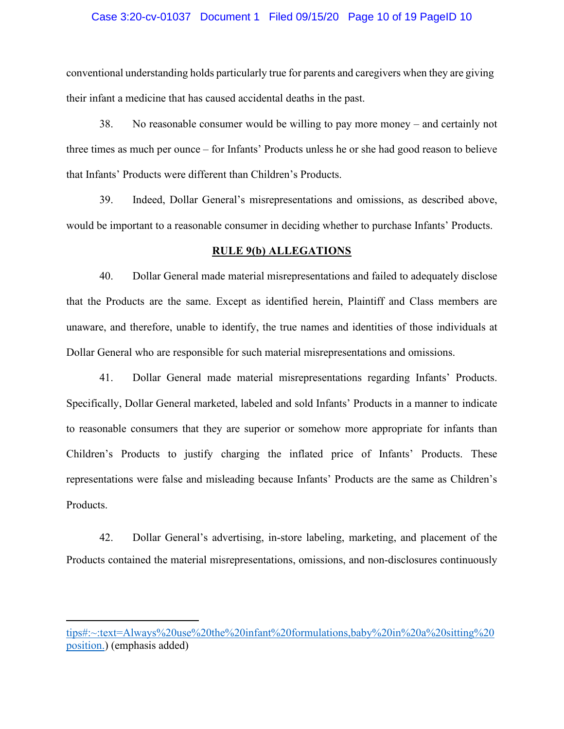#### Case 3:20-cv-01037 Document 1 Filed 09/15/20 Page 10 of 19 PageID 10

conventional understanding holds particularly true for parents and caregivers when they are giving their infant a medicine that has caused accidental deaths in the past.

38. No reasonable consumer would be willing to pay more money – and certainly not three times as much per ounce – for Infants' Products unless he or she had good reason to believe that Infants' Products were different than Children's Products.

39. Indeed, Dollar General's misrepresentations and omissions, as described above, would be important to a reasonable consumer in deciding whether to purchase Infants' Products.

#### **RULE 9(b) ALLEGATIONS**

40. Dollar General made material misrepresentations and failed to adequately disclose that the Products are the same. Except as identified herein, Plaintiff and Class members are unaware, and therefore, unable to identify, the true names and identities of those individuals at Dollar General who are responsible for such material misrepresentations and omissions.

41. Dollar General made material misrepresentations regarding Infants' Products. Specifically, Dollar General marketed, labeled and sold Infants' Products in a manner to indicate to reasonable consumers that they are superior or somehow more appropriate for infants than Children's Products to justify charging the inflated price of Infants' Products. These representations were false and misleading because Infants' Products are the same as Children's Products.

42. Dollar General's advertising, in-store labeling, marketing, and placement of the Products contained the material misrepresentations, omissions, and non-disclosures continuously

[tips#:~:text=Always%20use%20the%20infant%20formulations,baby%20in%20a%20sitting%20](https://www.whattoexpect.com/family/childrens-health-and-safety/medication-safety-guidelines-tips#:%7E:text=Always%20use%20the%20infant%20formulations,baby%20in%20a%20sitting%20position.) [position.\)](https://www.whattoexpect.com/family/childrens-health-and-safety/medication-safety-guidelines-tips#:%7E:text=Always%20use%20the%20infant%20formulations,baby%20in%20a%20sitting%20position.) (emphasis added)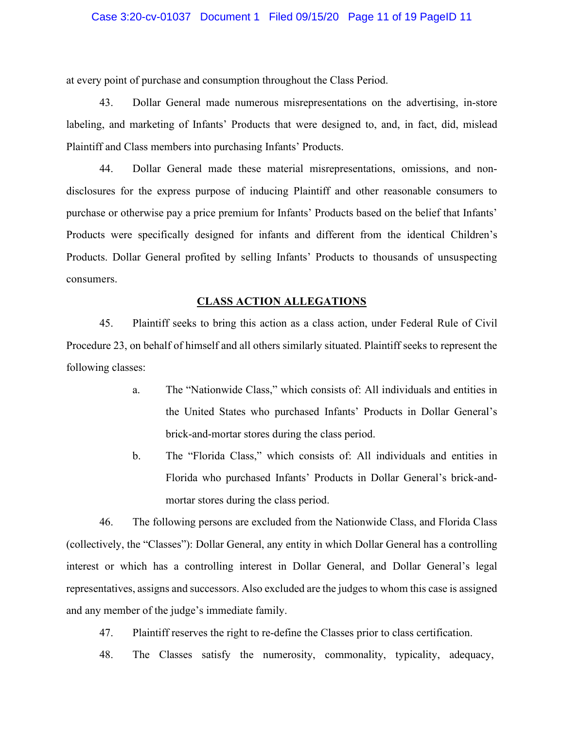#### Case 3:20-cv-01037 Document 1 Filed 09/15/20 Page 11 of 19 PageID 11

at every point of purchase and consumption throughout the Class Period.

43. Dollar General made numerous misrepresentations on the advertising, in-store labeling, and marketing of Infants' Products that were designed to, and, in fact, did, mislead Plaintiff and Class members into purchasing Infants' Products.

44. Dollar General made these material misrepresentations, omissions, and nondisclosures for the express purpose of inducing Plaintiff and other reasonable consumers to purchase or otherwise pay a price premium for Infants' Products based on the belief that Infants' Products were specifically designed for infants and different from the identical Children's Products. Dollar General profited by selling Infants' Products to thousands of unsuspecting consumers.

#### **CLASS ACTION ALLEGATIONS**

45. Plaintiff seeks to bring this action as a class action, under Federal Rule of Civil Procedure 23, on behalf of himself and all others similarly situated. Plaintiff seeks to represent the following classes:

- a. The "Nationwide Class," which consists of: All individuals and entities in the United States who purchased Infants' Products in Dollar General's brick-and-mortar stores during the class period.
- b. The "Florida Class," which consists of: All individuals and entities in Florida who purchased Infants' Products in Dollar General's brick-andmortar stores during the class period.

46. The following persons are excluded from the Nationwide Class, and Florida Class (collectively, the "Classes"): Dollar General, any entity in which Dollar General has a controlling interest or which has a controlling interest in Dollar General, and Dollar General's legal representatives, assigns and successors. Also excluded are the judges to whom this case is assigned and any member of the judge's immediate family.

47. Plaintiff reserves the right to re-define the Classes prior to class certification.

48. The Classes satisfy the numerosity, commonality, typicality, adequacy,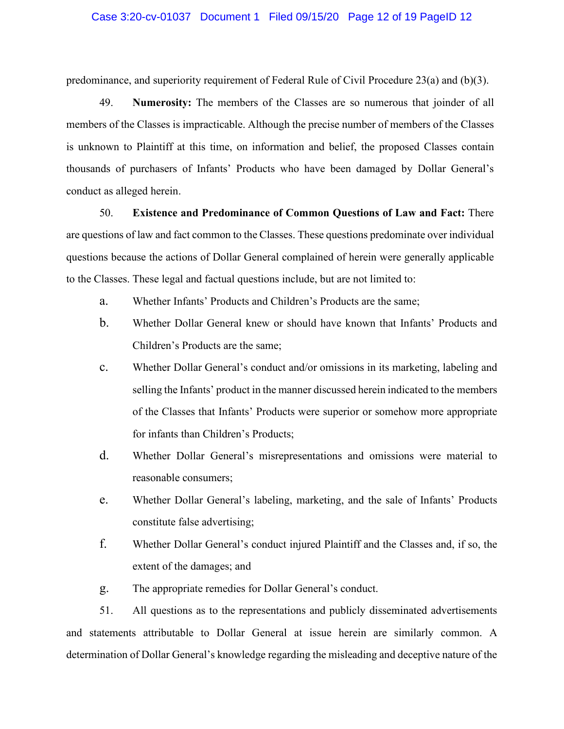#### Case 3:20-cv-01037 Document 1 Filed 09/15/20 Page 12 of 19 PageID 12

predominance, and superiority requirement of Federal Rule of Civil Procedure 23(a) and (b)(3).

49. **Numerosity:** The members of the Classes are so numerous that joinder of all members of the Classes is impracticable. Although the precise number of members of the Classes is unknown to Plaintiff at this time, on information and belief, the proposed Classes contain thousands of purchasers of Infants' Products who have been damaged by Dollar General's conduct as alleged herein.

50. **Existence and Predominance of Common Questions of Law and Fact:** There are questions of law and fact common to the Classes. These questions predominate over individual questions because the actions of Dollar General complained of herein were generally applicable to the Classes. These legal and factual questions include, but are not limited to:

- a. Whether Infants' Products and Children's Products are the same;
- b. Whether Dollar General knew or should have known that Infants' Products and Children's Products are the same;
- c. Whether Dollar General's conduct and/or omissions in its marketing, labeling and selling the Infants' product in the manner discussed herein indicated to the members of the Classes that Infants' Products were superior or somehow more appropriate for infants than Children's Products;
- d. Whether Dollar General's misrepresentations and omissions were material to reasonable consumers;
- e. Whether Dollar General's labeling, marketing, and the sale of Infants' Products constitute false advertising;
- f. Whether Dollar General's conduct injured Plaintiff and the Classes and, if so, the extent of the damages; and
- g. The appropriate remedies for Dollar General's conduct.

51. All questions as to the representations and publicly disseminated advertisements and statements attributable to Dollar General at issue herein are similarly common. A determination of Dollar General's knowledge regarding the misleading and deceptive nature of the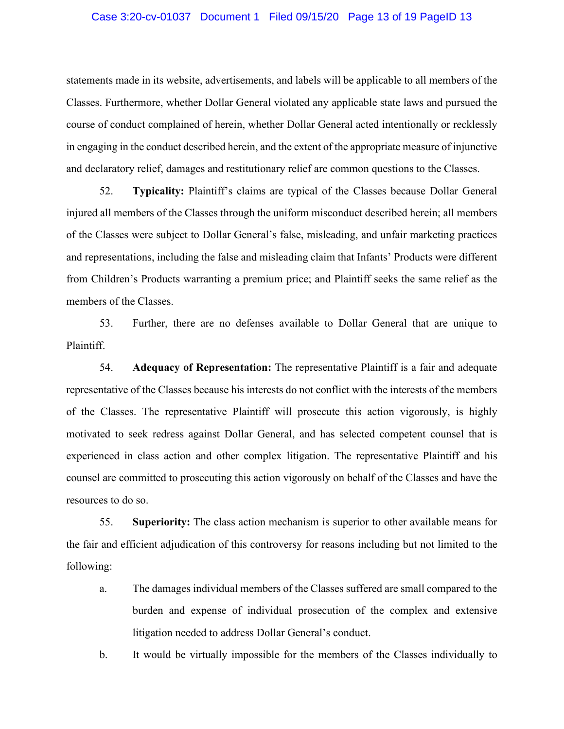#### Case 3:20-cv-01037 Document 1 Filed 09/15/20 Page 13 of 19 PageID 13

statements made in its website, advertisements, and labels will be applicable to all members of the Classes. Furthermore, whether Dollar General violated any applicable state laws and pursued the course of conduct complained of herein, whether Dollar General acted intentionally or recklessly in engaging in the conduct described herein, and the extent of the appropriate measure of injunctive and declaratory relief, damages and restitutionary relief are common questions to the Classes.

52. **Typicality:** Plaintiff's claims are typical of the Classes because Dollar General injured all members of the Classes through the uniform misconduct described herein; all members of the Classes were subject to Dollar General's false, misleading, and unfair marketing practices and representations, including the false and misleading claim that Infants' Products were different from Children's Products warranting a premium price; and Plaintiff seeks the same relief as the members of the Classes.

53. Further, there are no defenses available to Dollar General that are unique to Plaintiff.

54. **Adequacy of Representation:** The representative Plaintiff is a fair and adequate representative of the Classes because his interests do not conflict with the interests of the members of the Classes. The representative Plaintiff will prosecute this action vigorously, is highly motivated to seek redress against Dollar General, and has selected competent counsel that is experienced in class action and other complex litigation. The representative Plaintiff and his counsel are committed to prosecuting this action vigorously on behalf of the Classes and have the resources to do so.

55. **Superiority:** The class action mechanism is superior to other available means for the fair and efficient adjudication of this controversy for reasons including but not limited to the following:

a. The damages individual members of the Classes suffered are small compared to the burden and expense of individual prosecution of the complex and extensive litigation needed to address Dollar General's conduct.

b. It would be virtually impossible for the members of the Classes individually to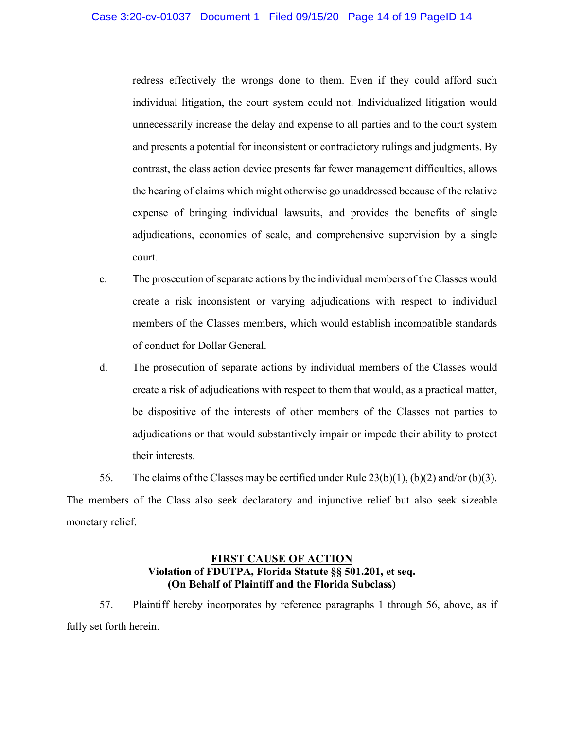#### Case 3:20-cv-01037 Document 1 Filed 09/15/20 Page 14 of 19 PageID 14

redress effectively the wrongs done to them. Even if they could afford such individual litigation, the court system could not. Individualized litigation would unnecessarily increase the delay and expense to all parties and to the court system and presents a potential for inconsistent or contradictory rulings and judgments. By contrast, the class action device presents far fewer management difficulties, allows the hearing of claims which might otherwise go unaddressed because of the relative expense of bringing individual lawsuits, and provides the benefits of single adjudications, economies of scale, and comprehensive supervision by a single court.

- c. The prosecution of separate actions by the individual members of the Classes would create a risk inconsistent or varying adjudications with respect to individual members of the Classes members, which would establish incompatible standards of conduct for Dollar General.
- d. The prosecution of separate actions by individual members of the Classes would create a risk of adjudications with respect to them that would, as a practical matter, be dispositive of the interests of other members of the Classes not parties to adjudications or that would substantively impair or impede their ability to protect their interests.

56. The claims of the Classes may be certified under Rule 23(b)(1), (b)(2) and/or (b)(3). The members of the Class also seek declaratory and injunctive relief but also seek sizeable monetary relief.

## **FIRST CAUSE OF ACTION Violation of FDUTPA, Florida Statute §§ 501.201, et seq. (On Behalf of Plaintiff and the Florida Subclass)**

57. Plaintiff hereby incorporates by reference paragraphs 1 through 56, above, as if fully set forth herein.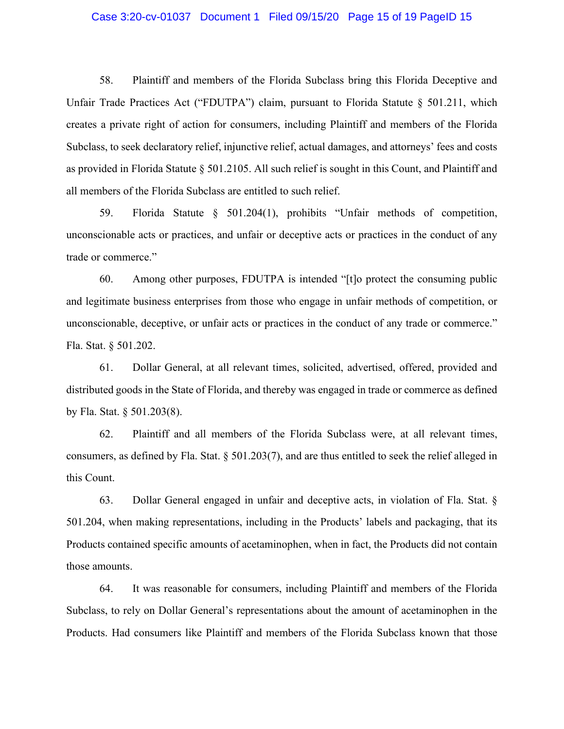#### Case 3:20-cv-01037 Document 1 Filed 09/15/20 Page 15 of 19 PageID 15

58. Plaintiff and members of the Florida Subclass bring this Florida Deceptive and Unfair Trade Practices Act ("FDUTPA") claim, pursuant to Florida Statute § 501.211, which creates a private right of action for consumers, including Plaintiff and members of the Florida Subclass, to seek declaratory relief, injunctive relief, actual damages, and attorneys' fees and costs as provided in Florida Statute § 501.2105. All such relief is sought in this Count, and Plaintiff and all members of the Florida Subclass are entitled to such relief.

59. Florida Statute § 501.204(1), prohibits "Unfair methods of competition, unconscionable acts or practices, and unfair or deceptive acts or practices in the conduct of any trade or commerce."

60. Among other purposes, FDUTPA is intended "[t]o protect the consuming public and legitimate business enterprises from those who engage in unfair methods of competition, or unconscionable, deceptive, or unfair acts or practices in the conduct of any trade or commerce." Fla. Stat. § 501.202.

61. Dollar General, at all relevant times, solicited, advertised, offered, provided and distributed goods in the State of Florida, and thereby was engaged in trade or commerce as defined by Fla. Stat. § 501.203(8).

62. Plaintiff and all members of the Florida Subclass were, at all relevant times, consumers, as defined by Fla. Stat. § 501.203(7), and are thus entitled to seek the relief alleged in this Count.

63. Dollar General engaged in unfair and deceptive acts, in violation of Fla. Stat. § 501.204, when making representations, including in the Products' labels and packaging, that its Products contained specific amounts of acetaminophen, when in fact, the Products did not contain those amounts.

64. It was reasonable for consumers, including Plaintiff and members of the Florida Subclass, to rely on Dollar General's representations about the amount of acetaminophen in the Products. Had consumers like Plaintiff and members of the Florida Subclass known that those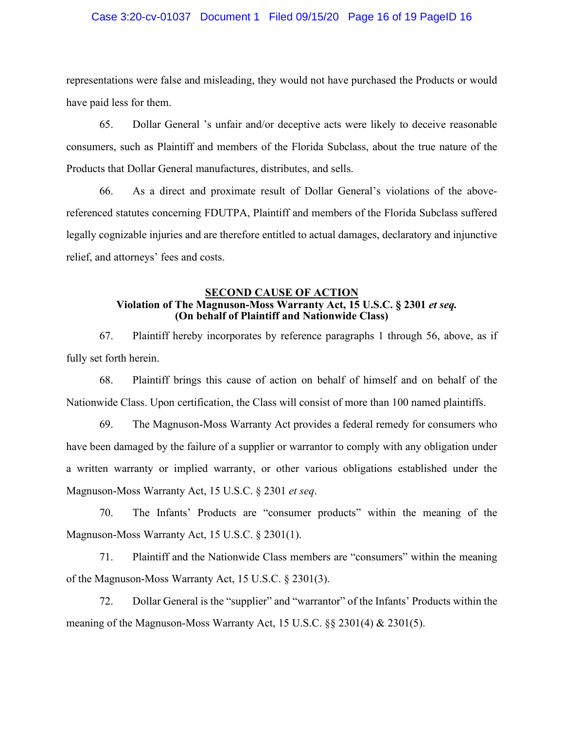#### Case 3:20-cv-01037 Document 1 Filed 09/15/20 Page 16 of 19 PageID 16

representations were false and misleading, they would not have purchased the Products or would have paid less for them.

65. Dollar General 's unfair and/or deceptive acts were likely to deceive reasonable consumers, such as Plaintiff and members of the Florida Subclass, about the true nature of the Products that Dollar General manufactures, distributes, and sells.

66. As a direct and proximate result of Dollar General's violations of the abovereferenced statutes concerning FDUTPA, Plaintiff and members of the Florida Subclass suffered legally cognizable injuries and are therefore entitled to actual damages, declaratory and injunctive relief, and attorneys' fees and costs.

## **SECOND CAUSE OF ACTION Violation of The Magnuson-Moss Warranty Act, 15 U.S.C. § 2301** *et seq.* **(On behalf of Plaintiff and Nationwide Class)**

67. Plaintiff hereby incorporates by reference paragraphs 1 through 56, above, as if fully set forth herein.

68. Plaintiff brings this cause of action on behalf of himself and on behalf of the Nationwide Class. Upon certification, the Class will consist of more than 100 named plaintiffs.

69. The Magnuson-Moss Warranty Act provides a federal remedy for consumers who have been damaged by the failure of a supplier or warrantor to comply with any obligation under a written warranty or implied warranty, or other various obligations established under the Magnuson-Moss Warranty Act, 15 U.S.C. § 2301 *et seq*.

70. The Infants' Products are "consumer products" within the meaning of the Magnuson-Moss Warranty Act, 15 U.S.C. § 2301(1).

71. Plaintiff and the Nationwide Class members are "consumers" within the meaning of the Magnuson-Moss Warranty Act, 15 U.S.C. § 2301(3).

72. Dollar General is the "supplier" and "warrantor" of the Infants' Products within the meaning of the Magnuson-Moss Warranty Act, 15 U.S.C. §§ 2301(4) & 2301(5).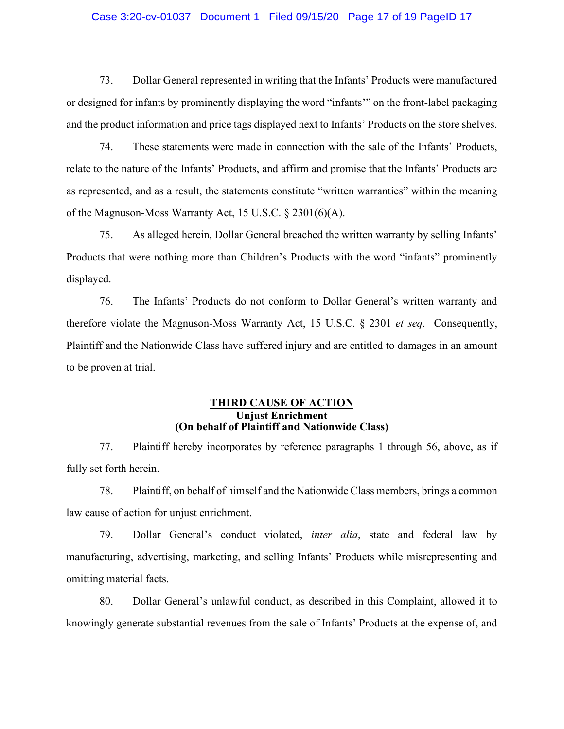#### Case 3:20-cv-01037 Document 1 Filed 09/15/20 Page 17 of 19 PageID 17

73. Dollar General represented in writing that the Infants' Products were manufactured or designed for infants by prominently displaying the word "infants'" on the front-label packaging and the product information and price tags displayed next to Infants' Products on the store shelves.

74. These statements were made in connection with the sale of the Infants' Products, relate to the nature of the Infants' Products, and affirm and promise that the Infants' Products are as represented, and as a result, the statements constitute "written warranties" within the meaning of the Magnuson-Moss Warranty Act, 15 U.S.C. § 2301(6)(A).

75. As alleged herein, Dollar General breached the written warranty by selling Infants' Products that were nothing more than Children's Products with the word "infants" prominently displayed.

76. The Infants' Products do not conform to Dollar General's written warranty and therefore violate the Magnuson-Moss Warranty Act, 15 U.S.C. § 2301 *et seq*. Consequently, Plaintiff and the Nationwide Class have suffered injury and are entitled to damages in an amount to be proven at trial.

#### **THIRD CAUSE OF ACTION Unjust Enrichment (On behalf of Plaintiff and Nationwide Class)**

77. Plaintiff hereby incorporates by reference paragraphs 1 through 56, above, as if fully set forth herein.

78. Plaintiff, on behalf of himself and the Nationwide Class members, brings a common law cause of action for unjust enrichment.

79. Dollar General's conduct violated, *inter alia*, state and federal law by manufacturing, advertising, marketing, and selling Infants' Products while misrepresenting and omitting material facts.

80. Dollar General's unlawful conduct, as described in this Complaint, allowed it to knowingly generate substantial revenues from the sale of Infants' Products at the expense of, and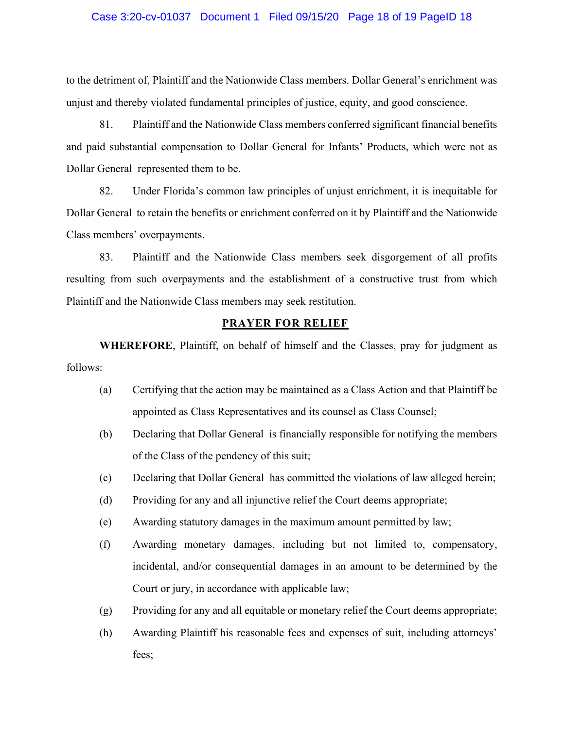#### Case 3:20-cv-01037 Document 1 Filed 09/15/20 Page 18 of 19 PageID 18

to the detriment of, Plaintiff and the Nationwide Class members. Dollar General's enrichment was unjust and thereby violated fundamental principles of justice, equity, and good conscience.

81. Plaintiff and the Nationwide Class members conferred significant financial benefits and paid substantial compensation to Dollar General for Infants' Products, which were not as Dollar General represented them to be.

82. Under Florida's common law principles of unjust enrichment, it is inequitable for Dollar General to retain the benefits or enrichment conferred on it by Plaintiff and the Nationwide Class members' overpayments.

83. Plaintiff and the Nationwide Class members seek disgorgement of all profits resulting from such overpayments and the establishment of a constructive trust from which Plaintiff and the Nationwide Class members may seek restitution.

## **PRAYER FOR RELIEF**

**WHEREFORE**, Plaintiff, on behalf of himself and the Classes, pray for judgment as follows:

- (a) Certifying that the action may be maintained as a Class Action and that Plaintiff be appointed as Class Representatives and its counsel as Class Counsel;
- (b) Declaring that Dollar General is financially responsible for notifying the members of the Class of the pendency of this suit;
- (c) Declaring that Dollar General has committed the violations of law alleged herein;
- (d) Providing for any and all injunctive relief the Court deems appropriate;
- (e) Awarding statutory damages in the maximum amount permitted by law;
- (f) Awarding monetary damages, including but not limited to, compensatory, incidental, and/or consequential damages in an amount to be determined by the Court or jury, in accordance with applicable law;
- (g) Providing for any and all equitable or monetary relief the Court deems appropriate;
- (h) Awarding Plaintiff his reasonable fees and expenses of suit, including attorneys' fees;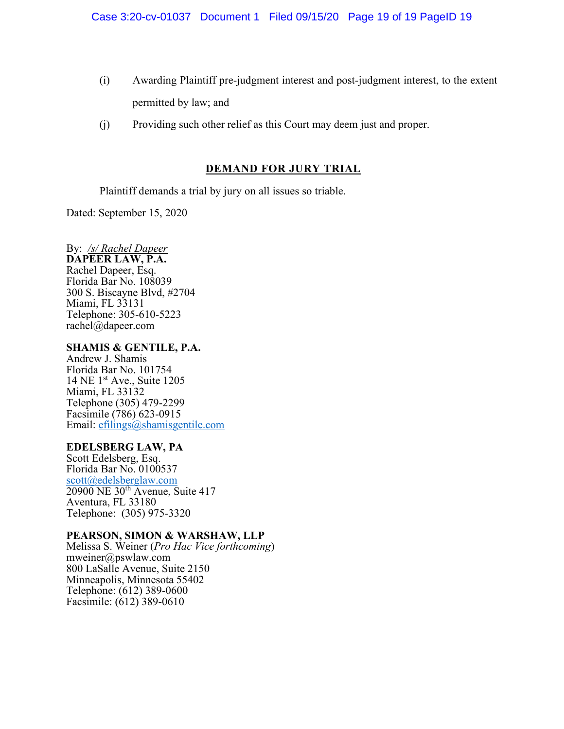- (i) Awarding Plaintiff pre-judgment interest and post-judgment interest, to the extent permitted by law; and
- (j) Providing such other relief as this Court may deem just and proper.

## **DEMAND FOR JURY TRIAL**

Plaintiff demands a trial by jury on all issues so triable.

Dated: September 15, 2020

### By: */s/ Rachel Dapeer*

**DAPEER LAW, P.A.** Rachel Dapeer, Esq. Florida Bar No. 108039 300 S. Biscayne Blvd, #2704 Miami, FL 33131 Telephone: 305-610-5223 rachel@dapeer.com

## **SHAMIS & GENTILE, P.A.**

Andrew J. Shamis Florida Bar No. 101754 14 NE 1st Ave., Suite 1205 Miami, FL 33132 Telephone (305) 479-2299 Facsimile (786) 623-0915 Email: [efilings@shamisgentile.com](mailto:efilings@shamisgentile.com)

## **EDELSBERG LAW, PA**

Scott Edelsberg, Esq. Florida Bar No. 0100537 [scott@edelsberglaw.com](mailto:scott@edelsberglaw.com)  $20900 \text{ NE } 30^{\text{th}}$  Avenue, Suite 417 Aventura, FL 33180 Telephone: (305) 975-3320

### **PEARSON, SIMON & WARSHAW, LLP**

Melissa S. Weiner (*Pro Hac Vice forthcoming*) mweiner@pswlaw.com 800 LaSalle Avenue, Suite 2150 Minneapolis, Minnesota 55402 Telephone: (612) 389-0600 Facsimile: (612) 389-0610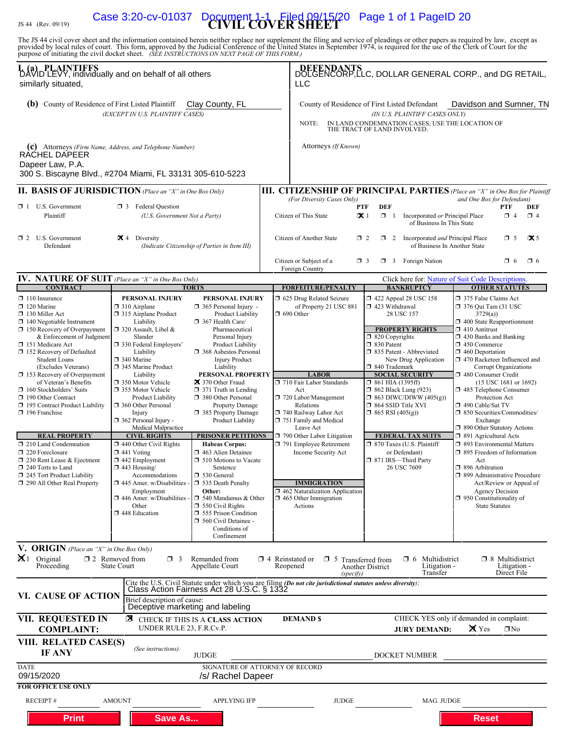# JS 44 (Rev. 09/19) **CIVIL COVER SHEET** Case 3:20-cv-01037 Document 1-1 Filed 09/15/20 Page 1 of 1 PageID 20

The JS 44 civil cover sheet and the information contained herein neither replace nor supplement the filing and service of pleadings or other papers as required by law, except as provided by local rules of court. This form,

| I. (a) PLAINTIFFS<br>DAVID LEVY, individually and on behalf of all others<br>similarly situated,                                                                                                                                                                                                                                                                                                                                                                                                                                                                                                                                                              |                                                                                                                                                                                                                                                                                                                                                                                                                                                                                                                                                                                                                                                 |                                                                                                                                                                                                                                                                                                                                                                                                                                                                                                                                                                                                                                                                                                          |  | DEFENDANTS<br>DOLGENCORP,LLC, DOLLAR GENERAL CORP., and DG RETAIL,<br><b>LLC</b>                                                                                                                                                                                                                                                                                                                                     |                                                                                                                                                                      |                                                                                                                                                                                                                                                                                                                                          |                                                                                                                                                                                                                                                                                                                                                                                                                                                                                                                                                                                                                    |                                                                                                                  |                 |
|---------------------------------------------------------------------------------------------------------------------------------------------------------------------------------------------------------------------------------------------------------------------------------------------------------------------------------------------------------------------------------------------------------------------------------------------------------------------------------------------------------------------------------------------------------------------------------------------------------------------------------------------------------------|-------------------------------------------------------------------------------------------------------------------------------------------------------------------------------------------------------------------------------------------------------------------------------------------------------------------------------------------------------------------------------------------------------------------------------------------------------------------------------------------------------------------------------------------------------------------------------------------------------------------------------------------------|----------------------------------------------------------------------------------------------------------------------------------------------------------------------------------------------------------------------------------------------------------------------------------------------------------------------------------------------------------------------------------------------------------------------------------------------------------------------------------------------------------------------------------------------------------------------------------------------------------------------------------------------------------------------------------------------------------|--|----------------------------------------------------------------------------------------------------------------------------------------------------------------------------------------------------------------------------------------------------------------------------------------------------------------------------------------------------------------------------------------------------------------------|----------------------------------------------------------------------------------------------------------------------------------------------------------------------|------------------------------------------------------------------------------------------------------------------------------------------------------------------------------------------------------------------------------------------------------------------------------------------------------------------------------------------|--------------------------------------------------------------------------------------------------------------------------------------------------------------------------------------------------------------------------------------------------------------------------------------------------------------------------------------------------------------------------------------------------------------------------------------------------------------------------------------------------------------------------------------------------------------------------------------------------------------------|------------------------------------------------------------------------------------------------------------------|-----------------|
| Clay County, FL<br><b>(b)</b> County of Residence of First Listed Plaintiff<br>(EXCEPT IN U.S. PLAINTIFF CASES)                                                                                                                                                                                                                                                                                                                                                                                                                                                                                                                                               |                                                                                                                                                                                                                                                                                                                                                                                                                                                                                                                                                                                                                                                 |                                                                                                                                                                                                                                                                                                                                                                                                                                                                                                                                                                                                                                                                                                          |  | Davidson and Sumner, TN<br>County of Residence of First Listed Defendant<br>(IN U.S. PLAINTIFF CASES ONLY)<br>IN LAND CONDEMNATION CASES, USE THE LOCATION OF THE TRACT OF LAND INVOLVED.<br>NOTE:                                                                                                                                                                                                                   |                                                                                                                                                                      |                                                                                                                                                                                                                                                                                                                                          |                                                                                                                                                                                                                                                                                                                                                                                                                                                                                                                                                                                                                    |                                                                                                                  |                 |
| (C) Attorneys (Firm Name, Address, and Telephone Number)<br>RACHEL DAPEER<br>Dapeer Law, P.A.<br>300 S. Biscayne Blvd., #2704 Miami, FL 33131 305-610-5223                                                                                                                                                                                                                                                                                                                                                                                                                                                                                                    |                                                                                                                                                                                                                                                                                                                                                                                                                                                                                                                                                                                                                                                 |                                                                                                                                                                                                                                                                                                                                                                                                                                                                                                                                                                                                                                                                                                          |  | Attorneys (If Known)                                                                                                                                                                                                                                                                                                                                                                                                 |                                                                                                                                                                      |                                                                                                                                                                                                                                                                                                                                          |                                                                                                                                                                                                                                                                                                                                                                                                                                                                                                                                                                                                                    |                                                                                                                  |                 |
| <b>II. BASIS OF JURISDICTION</b> (Place an "X" in One Box Only)                                                                                                                                                                                                                                                                                                                                                                                                                                                                                                                                                                                               |                                                                                                                                                                                                                                                                                                                                                                                                                                                                                                                                                                                                                                                 |                                                                                                                                                                                                                                                                                                                                                                                                                                                                                                                                                                                                                                                                                                          |  | <b>III. CITIZENSHIP OF PRINCIPAL PARTIES</b> (Place an "X" in One Box for Plaintiff                                                                                                                                                                                                                                                                                                                                  |                                                                                                                                                                      |                                                                                                                                                                                                                                                                                                                                          |                                                                                                                                                                                                                                                                                                                                                                                                                                                                                                                                                                                                                    |                                                                                                                  |                 |
| $\Box$ 1 U.S. Government<br><b>3</b> Federal Question<br>Plaintiff<br>(U.S. Government Not a Party)                                                                                                                                                                                                                                                                                                                                                                                                                                                                                                                                                           |                                                                                                                                                                                                                                                                                                                                                                                                                                                                                                                                                                                                                                                 |                                                                                                                                                                                                                                                                                                                                                                                                                                                                                                                                                                                                                                                                                                          |  | (For Diversity Cases Only)<br>PTF<br>$\mathbf{X}$ 1<br>Citizen of This State                                                                                                                                                                                                                                                                                                                                         | <b>DEF</b><br>$\Box$ 1                                                                                                                                               | Incorporated or Principal Place<br>of Business In This State                                                                                                                                                                                                                                                                             | and One Box for Defendant)                                                                                                                                                                                                                                                                                                                                                                                                                                                                                                                                                                                         | <b>PTF</b><br>$\Box$ 4                                                                                           | DEF<br>$\Box$ 4 |
| $\Box$ 2 U.S. Government<br>Defendant                                                                                                                                                                                                                                                                                                                                                                                                                                                                                                                                                                                                                         | $\mathbf{\times}$ 4 Diversity<br>(Indicate Citizenship of Parties in Item III)                                                                                                                                                                                                                                                                                                                                                                                                                                                                                                                                                                  |                                                                                                                                                                                                                                                                                                                                                                                                                                                                                                                                                                                                                                                                                                          |  | Citizen of Another State<br>Incorporated and Principal Place<br>$\Box$ 5<br>$\Box$ 2<br>$\Box$ 2<br>of Business In Another State<br>$\Box$ 3                                                                                                                                                                                                                                                                         |                                                                                                                                                                      |                                                                                                                                                                                                                                                                                                                                          |                                                                                                                                                                                                                                                                                                                                                                                                                                                                                                                                                                                                                    | $\mathbf{\times}$ 5<br>$\Box$ 6                                                                                  |                 |
|                                                                                                                                                                                                                                                                                                                                                                                                                                                                                                                                                                                                                                                               |                                                                                                                                                                                                                                                                                                                                                                                                                                                                                                                                                                                                                                                 |                                                                                                                                                                                                                                                                                                                                                                                                                                                                                                                                                                                                                                                                                                          |  | Citizen or Subject of a<br>Foreign Country                                                                                                                                                                                                                                                                                                                                                                           |                                                                                                                                                                      | $\Box$ 3 Foreign Nation                                                                                                                                                                                                                                                                                                                  |                                                                                                                                                                                                                                                                                                                                                                                                                                                                                                                                                                                                                    | $\Box$ 6                                                                                                         |                 |
| <b>IV. NATURE OF SUIT</b> (Place an "X" in One Box Only)<br><b>CONTRACT</b>                                                                                                                                                                                                                                                                                                                                                                                                                                                                                                                                                                                   |                                                                                                                                                                                                                                                                                                                                                                                                                                                                                                                                                                                                                                                 | <b>TORTS</b>                                                                                                                                                                                                                                                                                                                                                                                                                                                                                                                                                                                                                                                                                             |  | <b>FORFEITURE/PENALTY</b>                                                                                                                                                                                                                                                                                                                                                                                            | <b>BANKRUPTCY</b>                                                                                                                                                    |                                                                                                                                                                                                                                                                                                                                          | Click here for: Nature of Suit Code Descriptions.<br><b>OTHER STATUTES</b>                                                                                                                                                                                                                                                                                                                                                                                                                                                                                                                                         |                                                                                                                  |                 |
| $\Box$ 110 Insurance<br>$\Box$ 120 Marine<br>$\Box$ 130 Miller Act<br>$\Box$ 140 Negotiable Instrument<br>$\Box$ 150 Recovery of Overpayment<br>& Enforcement of Judgment<br>□ 151 Medicare Act<br>□ 152 Recovery of Defaulted<br><b>Student Loans</b><br>(Excludes Veterans)<br>$\Box$ 153 Recovery of Overpayment<br>of Veteran's Benefits<br>$\Box$ 160 Stockholders' Suits<br>190 Other Contract<br>195 Contract Product Liability<br>$\Box$ 196 Franchise<br><b>REAL PROPERTY</b><br>210 Land Condemnation<br>220 Foreclosure<br>□ 230 Rent Lease & Ejectment<br>□ 240 Torts to Land<br>$\Box$ 245 Tort Product Liability<br>290 All Other Real Property | PERSONAL INJURY<br>$\Box$ 310 Airplane<br>□ 315 Airplane Product<br>Liability<br>$\Box$ 320 Assault, Libel &<br>Slander<br>□ 330 Federal Employers'<br>Liability<br>$\Box$ 340 Marine<br>345 Marine Product<br>Liability<br>□ 350 Motor Vehicle<br>□ 355 Motor Vehicle<br><b>Product Liability</b><br>360 Other Personal<br>Injury<br>□ 362 Personal Injury -<br>Medical Malpractice<br><b>CIVIL RIGHTS</b><br>$\Box$ 440 Other Civil Rights<br>$\Box$ 441 Voting<br>$\square$ 442 Employment<br>$\Box$ 443 Housing/<br>Accommodations<br>445 Amer. w/Disabilities -<br>Employment<br>$\Box$ 446 Amer. w/Disabilities<br>Other<br>448 Education | PERSONAL INJURY<br>$\Box$ 365 Personal Injury -<br>Product Liability<br>367 Health Care/<br>Pharmaceutical<br>Personal Injury<br>Product Liability<br>□ 368 Asbestos Personal<br><b>Injury Product</b><br>Liability<br>PERSONAL PROPERTY<br>370 Other Fraud<br>$\Box$ 371 Truth in Lending<br>380 Other Personal<br>Property Damage<br>385 Property Damage<br>Product Liability<br><b>PRISONER PETITIONS</b><br><b>Habeas Corpus:</b><br>463 Alien Detainee<br>$\Box$ 510 Motions to Vacate<br>Sentence<br>$\Box$ 530 General<br>□ 535 Death Penalty<br>Other:<br>$\Box$ 540 Mandamus & Other<br>$\Box$ 550 Civil Rights<br>555 Prison Condition<br>560 Civil Detainee -<br>Conditions of<br>Confinement |  | 5 625 Drug Related Seizure<br>of Property 21 USC 881<br>$\Box$ 690 Other<br><b>LABOR</b><br>710 Fair Labor Standards<br>Act<br>720 Labor/Management<br>Relations<br>740 Railway Labor Act<br>751 Family and Medical<br>Leave Act<br>790 Other Labor Litigation<br>791 Employee Retirement<br>Income Security Act<br><b>IMMIGRATION</b><br>1462 Naturalization Application<br>$\Box$ 465 Other Immigration<br>Actions | □ 423 Withdrawal<br>$\Box$ 820 Copyrights<br>$\Box$ 830 Patent<br>□ 840 Trademark<br>$\Box$ 861 HIA (1395ff)<br>$\Box$ 864 SSID Title XVI<br>$\Box$ 865 RSI (405(g)) | $\Box$ 422 Appeal 28 USC 158<br>28 USC 157<br><b>PROPERTY RIGHTS</b><br>□ 835 Patent - Abbreviated<br>New Drug Application<br><b>SOCIAL SECURITY</b><br>$\Box$ 862 Black Lung (923)<br>$\Box$ 863 DIWC/DIWW (405(g))<br><b>FEDERAL TAX SUITS</b><br>7 870 Taxes (U.S. Plaintiff<br>or Defendant)<br>□ 871 IRS-Third Party<br>26 USC 7609 | 375 False Claims Act<br>$\Box$ 376 Qui Tam (31 USC<br>3729(a)<br>1 400 State Reapportionment<br>$\Box$ 410 Antitrust<br>$\Box$ 430 Banks and Banking<br>$\Box$ 450 Commerce<br>$\Box$ 460 Deportation<br>□ 470 Racketeer Influenced and<br>480 Consumer Credit<br>485 Telephone Consumer<br>□ 490 Cable/Sat TV<br>□ 850 Securities/Commodities/<br>Exchange<br>□ 890 Other Statutory Actions<br>□ 891 Agricultural Acts<br>□ 893 Environmental Matters<br>$\Box$ 895 Freedom of Information<br>Act<br>□ 896 Arbitration<br>99 Administrative Procedure<br>$\Box$ 950 Constitutionality of<br><b>State Statutes</b> | Corrupt Organizations<br>$(15$ USC 1681 or 1692)<br>Protection Act<br>Act/Review or Appeal of<br>Agency Decision |                 |
| V. ORIGIN (Place an "X" in One Box Only)<br>$\mathbf{X}$ 1 Original<br>Proceeding                                                                                                                                                                                                                                                                                                                                                                                                                                                                                                                                                                             | $\Box$ 2 Removed from<br>$\Box$ 3<br><b>State Court</b>                                                                                                                                                                                                                                                                                                                                                                                                                                                                                                                                                                                         | Remanded from<br>Appellate Court                                                                                                                                                                                                                                                                                                                                                                                                                                                                                                                                                                                                                                                                         |  | $\Box$ 4 Reinstated or<br>$\Box$ 5 Transferred from<br>Reopened<br>(specify)                                                                                                                                                                                                                                                                                                                                         | Another District                                                                                                                                                     | $\Box$ 6 Multidistrict<br>Litigation -<br>Transfer                                                                                                                                                                                                                                                                                       |                                                                                                                                                                                                                                                                                                                                                                                                                                                                                                                                                                                                                    | $\Box$ 8 Multidistrict<br>Litigation -<br>Direct File                                                            |                 |
| VI. CAUSE OF ACTION                                                                                                                                                                                                                                                                                                                                                                                                                                                                                                                                                                                                                                           | Brief description of cause:<br>Deceptive marketing and labeling                                                                                                                                                                                                                                                                                                                                                                                                                                                                                                                                                                                 | Class Action Fairness Act 28 U.S.C. § 1332                                                                                                                                                                                                                                                                                                                                                                                                                                                                                                                                                                                                                                                               |  | Cite the U.S. Civil Statute under which you are filing (Do not cite jurisdictional statutes unless diversity):                                                                                                                                                                                                                                                                                                       |                                                                                                                                                                      |                                                                                                                                                                                                                                                                                                                                          |                                                                                                                                                                                                                                                                                                                                                                                                                                                                                                                                                                                                                    |                                                                                                                  |                 |
| <b>VII. REQUESTED IN</b><br><b>COMPLAINT:</b>                                                                                                                                                                                                                                                                                                                                                                                                                                                                                                                                                                                                                 | UNDER RULE 23, F.R.Cv.P.                                                                                                                                                                                                                                                                                                                                                                                                                                                                                                                                                                                                                        | <b>EX</b> CHECK IF THIS IS A CLASS ACTION                                                                                                                                                                                                                                                                                                                                                                                                                                                                                                                                                                                                                                                                |  | <b>DEMAND \$</b>                                                                                                                                                                                                                                                                                                                                                                                                     |                                                                                                                                                                      | CHECK YES only if demanded in complaint:<br><b>JURY DEMAND:</b>                                                                                                                                                                                                                                                                          | <b>X</b> Yes                                                                                                                                                                                                                                                                                                                                                                                                                                                                                                                                                                                                       | ⊐No                                                                                                              |                 |
| VIII. RELATED CASE(S)<br>IF ANY                                                                                                                                                                                                                                                                                                                                                                                                                                                                                                                                                                                                                               | (See instructions):                                                                                                                                                                                                                                                                                                                                                                                                                                                                                                                                                                                                                             | <b>JUDGE</b>                                                                                                                                                                                                                                                                                                                                                                                                                                                                                                                                                                                                                                                                                             |  |                                                                                                                                                                                                                                                                                                                                                                                                                      |                                                                                                                                                                      | DOCKET NUMBER                                                                                                                                                                                                                                                                                                                            |                                                                                                                                                                                                                                                                                                                                                                                                                                                                                                                                                                                                                    |                                                                                                                  |                 |
| <b>DATE</b><br>09/15/2020<br><b>FOR OFFICE USE ONLY</b>                                                                                                                                                                                                                                                                                                                                                                                                                                                                                                                                                                                                       |                                                                                                                                                                                                                                                                                                                                                                                                                                                                                                                                                                                                                                                 | SIGNATURE OF ATTORNEY OF RECORD<br>/s/ Rachel Dapeer                                                                                                                                                                                                                                                                                                                                                                                                                                                                                                                                                                                                                                                     |  |                                                                                                                                                                                                                                                                                                                                                                                                                      |                                                                                                                                                                      |                                                                                                                                                                                                                                                                                                                                          |                                                                                                                                                                                                                                                                                                                                                                                                                                                                                                                                                                                                                    |                                                                                                                  |                 |
| <b>RECEIPT#</b>                                                                                                                                                                                                                                                                                                                                                                                                                                                                                                                                                                                                                                               | <b>AMOUNT</b>                                                                                                                                                                                                                                                                                                                                                                                                                                                                                                                                                                                                                                   | <b>APPLYING IFP</b>                                                                                                                                                                                                                                                                                                                                                                                                                                                                                                                                                                                                                                                                                      |  | <b>JUDGE</b>                                                                                                                                                                                                                                                                                                                                                                                                         |                                                                                                                                                                      | MAG. JUDGE                                                                                                                                                                                                                                                                                                                               |                                                                                                                                                                                                                                                                                                                                                                                                                                                                                                                                                                                                                    |                                                                                                                  |                 |
| <b>Print</b>                                                                                                                                                                                                                                                                                                                                                                                                                                                                                                                                                                                                                                                  | <b>Save As</b>                                                                                                                                                                                                                                                                                                                                                                                                                                                                                                                                                                                                                                  |                                                                                                                                                                                                                                                                                                                                                                                                                                                                                                                                                                                                                                                                                                          |  |                                                                                                                                                                                                                                                                                                                                                                                                                      |                                                                                                                                                                      |                                                                                                                                                                                                                                                                                                                                          | <b>Reset</b>                                                                                                                                                                                                                                                                                                                                                                                                                                                                                                                                                                                                       |                                                                                                                  |                 |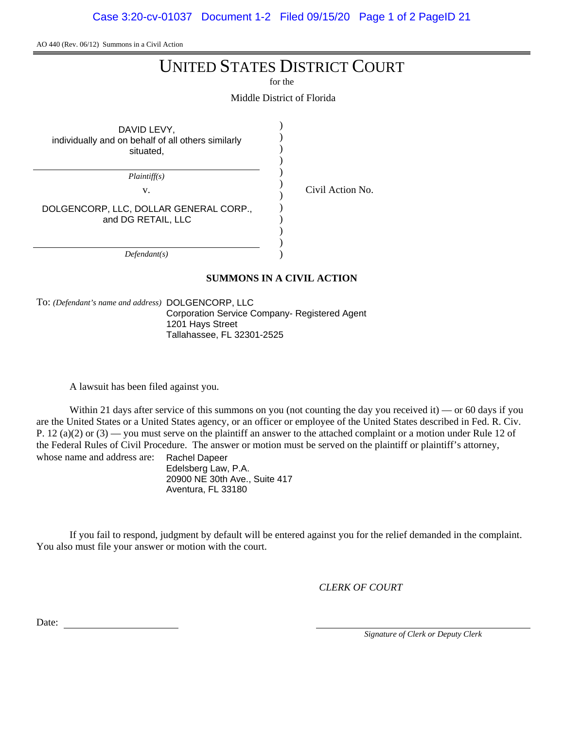Case 3:20-cv-01037 Document 1-2 Filed 09/15/20 Page 1 of 2 PageID 21

AO 440 (Rev. 06/12) Summons in a Civil Action

## UNITED STATES DISTRICT COURT

for the

) ) ) ) ) ) ) ) ) ) ) )

v. Civil Action No.

Middle District of Florida

| DAVID LEVY,<br>individually and on behalf of all others similarly<br>situated, |  |
|--------------------------------------------------------------------------------|--|
| $\mathbf{D1}$ $\cdots$ $\mathbf{C}$                                            |  |

*Plaintiff(s)*

DOLGENCORP, LLC, DOLLAR GENERAL CORP., and DG RETAIL, LLC

*Defendant(s)*

#### **SUMMONS IN A CIVIL ACTION**

To: *(Defendant's name and address)* DOLGENCORP, LLC Corporation Service Company- Registered Agent 1201 Hays Street Tallahassee, FL 32301-2525

A lawsuit has been filed against you.

Within 21 days after service of this summons on you (not counting the day you received it) — or 60 days if you are the United States or a United States agency, or an officer or employee of the United States described in Fed. R. Civ. P. 12 (a)(2) or  $(3)$  — you must serve on the plaintiff an answer to the attached complaint or a motion under Rule 12 of the Federal Rules of Civil Procedure. The answer or motion must be served on the plaintiff or plaintiff's attorney, whose name and address are: Rachel Dapeer

Edelsberg Law, P.A. 20900 NE 30th Ave., Suite 417 Aventura, FL 33180

If you fail to respond, judgment by default will be entered against you for the relief demanded in the complaint. You also must file your answer or motion with the court.

*CLERK OF COURT*

Date:

*Signature of Clerk or Deputy Clerk*